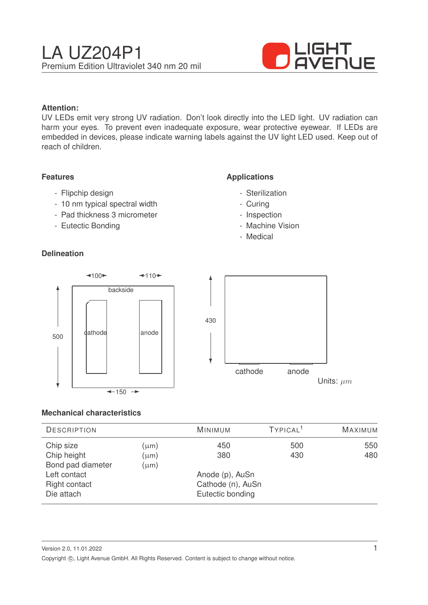

### **Attention:**

UV LEDs emit very strong UV radiation. Don't look directly into the LED light. UV radiation can harm your eyes. To prevent even inadequate exposure, wear protective eyewear. If LEDs are embedded in devices, please indicate warning labels against the UV light LED used. Keep out of reach of children.

#### **Features**

- Flipchip design
- 10 nm typical spectral width
- Pad thickness 3 micrometer
- Eutectic Bonding

### **Delineation**

### **Applications**

- Sterilization
- Curing
- Inspection
- Machine Vision
- Medical



#### **Mechanical characteristics**

| <b>DESCRIPTION</b>                                               |                        | <b>MINIMUM</b>                                           | TYPICAL <sup>1</sup> | <b>MAXIMUM</b> |
|------------------------------------------------------------------|------------------------|----------------------------------------------------------|----------------------|----------------|
| Chip size<br>Chip height                                         | $(\mu m)$<br>$(\mu m)$ | 450<br>380                                               | 500<br>430           | 550<br>480     |
| Bond pad diameter<br>Left contact<br>Right contact<br>Die attach | $(\mu m)$              | Anode (p), AuSn<br>Cathode (n), AuSn<br>Eutectic bonding |                      |                |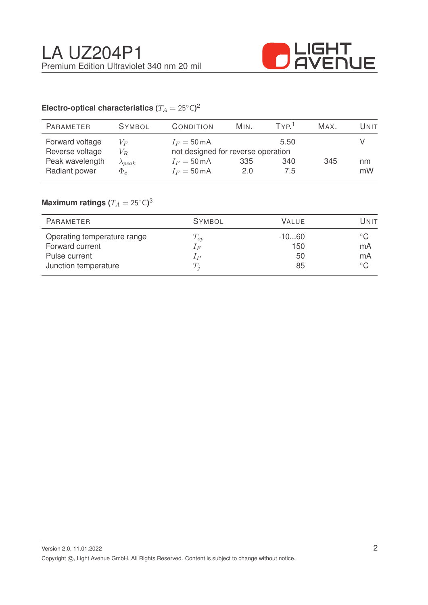

# Electro-optical characteristics ( $T_A = 25^{\circ} \text{C}$ )<sup>2</sup>

| <b>SYMBOL</b>    | <b>CONDITION</b>                   | MIN. | TYP <sup>1</sup> | Max. | Unit |
|------------------|------------------------------------|------|------------------|------|------|
| $V_F$            | $I_F = 50 \text{ mA}$              |      | 5.50             |      |      |
| $V_R$            | not designed for reverse operation |      |                  |      |      |
| $\lambda_{peak}$ | $I_F = 50 \text{ mA}$              | 335  | 340              | 345  | nm   |
| $\Phi_e$         | $I_F = 50 \text{ mA}$              | 2.0  | 7.5              |      | mW   |
|                  |                                    |      |                  |      |      |

## $\mathsf{Maximum}$  ratings  $(T_A = 25^{\circ} \mathsf{C})^3$

| PARAMETER                   | <b>SYMBOL</b>  | <b>VALUE</b> | Unit         |
|-----------------------------|----------------|--------------|--------------|
| Operating temperature range | $T_{op}$       | $-1060$      | $^{\circ}$ C |
| Forward current             | $1_F$          | 150          | mA           |
| Pulse current               | 1 <sub>P</sub> | 50           | mA           |
| Junction temperature        | $T_{i}$        | 85           | $^{\circ}$ C |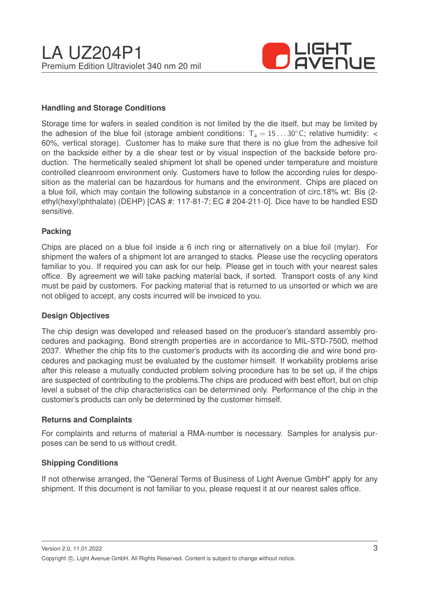

### **Handling and Storage Conditions**

Storage time for wafers in sealed condition is not limited by the die itself, but may be limited by the adhesion of the blue foil (storage ambient conditions:  $T_a = 15...30^{\circ}$ C; relative humidity: < 60%, vertical storage). Customer has to make sure that there is no glue from the adhesive foil on the backside either by a die shear test or by visual inspection of the backside before production. The hermetically sealed shipment lot shall be opened under temperature and moisture controlled cleanroom environment only. Customers have to follow the according rules for desposition as the material can be hazardous for humans and the environment. Chips are placed on a blue foil, which may contain the following substance in a concentration of circ.18% wt: Bis (2 ethyl(hexyl)phthalate) (DEHP) [CAS #: 117-81-7; EC # 204-211-0]. Dice have to be handled ESD sensitive.

#### **Packing**

Chips are placed on a blue foil inside a 6 inch ring or alternatively on a blue foil (mylar). For shipment the wafers of a shipment lot are arranged to stacks. Please use the recycling operators familiar to you. If required you can ask for our help. Please get in touch with your nearest sales office. By agreement we will take packing material back, if sorted. Transport costs of any kind must be paid by customers. For packing material that is returned to us unsorted or which we are not obliged to accept, any costs incurred will be invoiced to you.

#### **Design Objectives**

The chip design was developed and released based on the producer's standard assembly procedures and packaging. Bond strength properties are in accordance to MIL-STD-750D, method 2037. Whether the chip fits to the customer's products with its according die and wire bond procedures and packaging must be evaluated by the customer himself. If workability problems arise after this release a mutually conducted problem solving procedure has to be set up, if the chips are suspected of contributing to the problems.The chips are produced with best effort, but on chip level a subset of the chip characteristics can be determined only. Performance of the chip in the customer's products can only be determined by the customer himself.

#### **Returns and Complaints**

For complaints and returns of material a RMA-number is necessary. Samples for analysis purposes can be send to us without credit.

#### **Shipping Conditions**

If not otherwise arranged, the "General Terms of Business of Light Avenue GmbH" apply for any shipment. If this document is not familiar to you, please request it at our nearest sales office.

Version 2.0, 11.01.2022 Copyright ©, Light Avenue GmbH. All Rights Reserved. Content is subject to change without notice.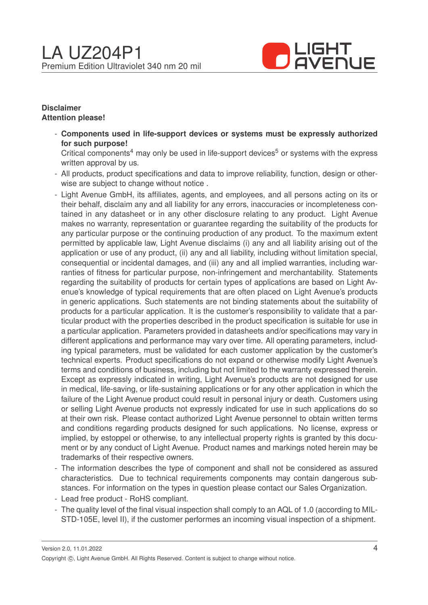

#### **Disclaimer Attention please!**

- **Components used in life-support devices or systems must be expressly authorized for such purpose!**

Critical components<sup>4</sup> may only be used in life-support devices<sup>5</sup> or systems with the express written approval by us.

- All products, product specifications and data to improve reliability, function, design or otherwise are subject to change without notice .
- Light Avenue GmbH, its affiliates, agents, and employees, and all persons acting on its or their behalf, disclaim any and all liability for any errors, inaccuracies or incompleteness contained in any datasheet or in any other disclosure relating to any product. Light Avenue makes no warranty, representation or guarantee regarding the suitability of the products for any particular purpose or the continuing production of any product. To the maximum extent permitted by applicable law, Light Avenue disclaims (i) any and all liability arising out of the application or use of any product, (ii) any and all liability, including without limitation special, consequential or incidental damages, and (iii) any and all implied warranties, including warranties of fitness for particular purpose, non-infringement and merchantability. Statements regarding the suitability of products for certain types of applications are based on Light Avenue's knowledge of typical requirements that are often placed on Light Avenue's products in generic applications. Such statements are not binding statements about the suitability of products for a particular application. It is the customer's responsibility to validate that a particular product with the properties described in the product specification is suitable for use in a particular application. Parameters provided in datasheets and/or specifications may vary in different applications and performance may vary over time. All operating parameters, including typical parameters, must be validated for each customer application by the customer's technical experts. Product specifications do not expand or otherwise modify Light Avenue's terms and conditions of business, including but not limited to the warranty expressed therein. Except as expressly indicated in writing, Light Avenue's products are not designed for use in medical, life-saving, or life-sustaining applications or for any other application in which the failure of the Light Avenue product could result in personal injury or death. Customers using or selling Light Avenue products not expressly indicated for use in such applications do so at their own risk. Please contact authorized Light Avenue personnel to obtain written terms and conditions regarding products designed for such applications. No license, express or implied, by estoppel or otherwise, to any intellectual property rights is granted by this document or by any conduct of Light Avenue. Product names and markings noted herein may be trademarks of their respective owners.
- The information describes the type of component and shall not be considered as assured characteristics. Due to technical requirements components may contain dangerous substances. For information on the types in question please contact our Sales Organization.
- Lead free product RoHS compliant.
- The quality level of the final visual inspection shall comply to an AQL of 1.0 (according to MIL-STD-105E, level II), if the customer performes an incoming visual inspection of a shipment.